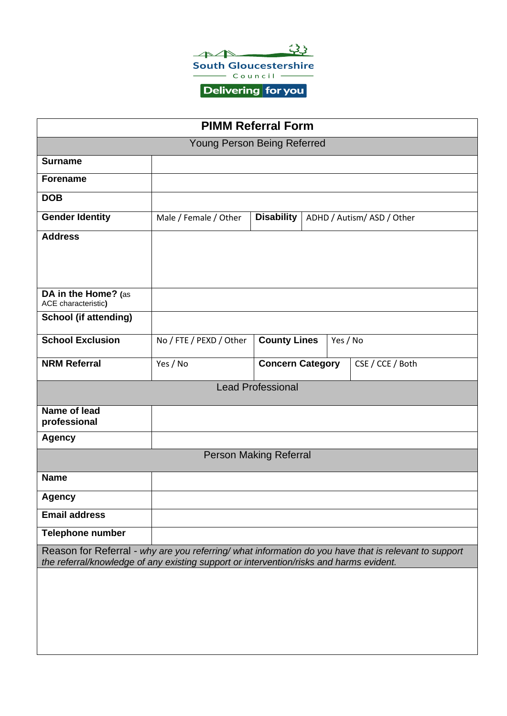

Delivering for you

| <b>PIMM Referral Form</b>                                                                                                                                                                        |                         |                         |  |                            |  |  |  |
|--------------------------------------------------------------------------------------------------------------------------------------------------------------------------------------------------|-------------------------|-------------------------|--|----------------------------|--|--|--|
| Young Person Being Referred                                                                                                                                                                      |                         |                         |  |                            |  |  |  |
| <b>Surname</b>                                                                                                                                                                                   |                         |                         |  |                            |  |  |  |
| <b>Forename</b>                                                                                                                                                                                  |                         |                         |  |                            |  |  |  |
| <b>DOB</b>                                                                                                                                                                                       |                         |                         |  |                            |  |  |  |
| <b>Gender Identity</b>                                                                                                                                                                           | Male / Female / Other   | <b>Disability</b>       |  | ADHD / Autism/ ASD / Other |  |  |  |
| <b>Address</b>                                                                                                                                                                                   |                         |                         |  |                            |  |  |  |
| DA in the Home? (as<br>ACE characteristic)                                                                                                                                                       |                         |                         |  |                            |  |  |  |
| <b>School (if attending)</b>                                                                                                                                                                     |                         |                         |  |                            |  |  |  |
| <b>School Exclusion</b>                                                                                                                                                                          | No / FTE / PEXD / Other | <b>County Lines</b>     |  | Yes / No                   |  |  |  |
| <b>NRM Referral</b>                                                                                                                                                                              | Yes / No                | <b>Concern Category</b> |  | CSE / CCE / Both           |  |  |  |
| <b>Lead Professional</b>                                                                                                                                                                         |                         |                         |  |                            |  |  |  |
| Name of lead<br>professional                                                                                                                                                                     |                         |                         |  |                            |  |  |  |
| <b>Agency</b>                                                                                                                                                                                    |                         |                         |  |                            |  |  |  |
| <b>Person Making Referral</b>                                                                                                                                                                    |                         |                         |  |                            |  |  |  |
| <b>Name</b>                                                                                                                                                                                      |                         |                         |  |                            |  |  |  |
| Agency                                                                                                                                                                                           |                         |                         |  |                            |  |  |  |
| <b>Email address</b>                                                                                                                                                                             |                         |                         |  |                            |  |  |  |
| Telephone number                                                                                                                                                                                 |                         |                         |  |                            |  |  |  |
| Reason for Referral - why are you referring/ what information do you have that is relevant to support<br>the referral/knowledge of any existing support or intervention/risks and harms evident. |                         |                         |  |                            |  |  |  |
|                                                                                                                                                                                                  |                         |                         |  |                            |  |  |  |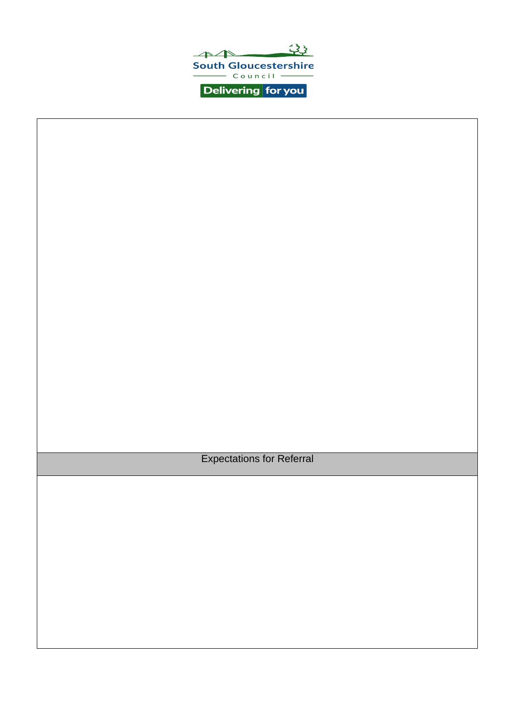

Expectations for Referral